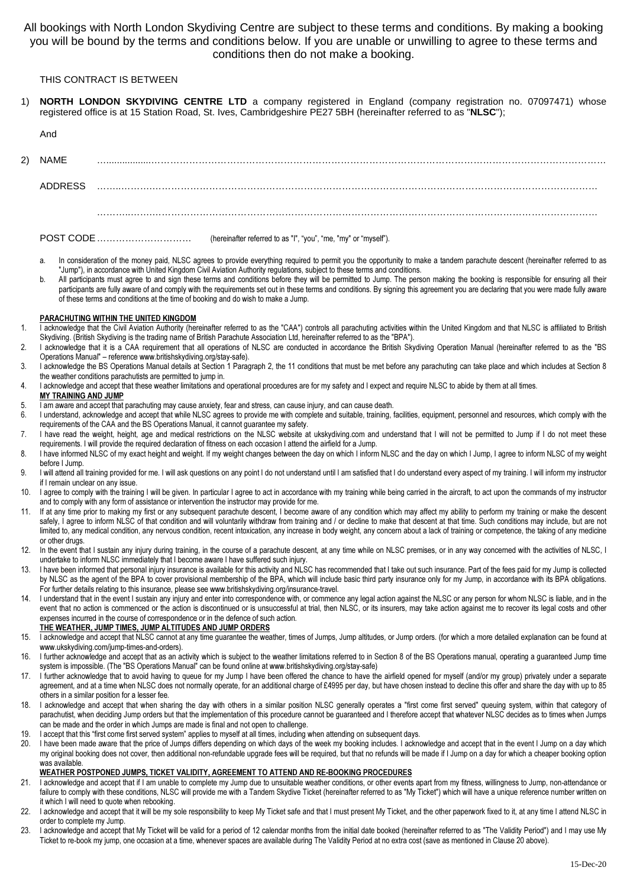All bookings with North London Skydiving Centre are subject to these terms and conditions. By making a booking you will be bound by the terms and conditions below. If you are unable or unwilling to agree to these terms and conditions then do not make a booking.

## THIS CONTRACT IS BETWEEN

- 1) **NORTH LONDON SKYDIVING CENTRE LTD** a company registered in England (company registration no. 07097471) whose registered office is at 15 Station Road, St. Ives, Cambridgeshire PE27 5BH (hereinafter referred to as "**NLSC**");
	- And

2) NAME ….................………………………………………………………………………………………………………………………………

ADDRESS ……..……….……………………………………………………………………………………………………………………………

………..…….……………………………………………………………………………………………………………………………

POST CODE ………………………… (hereinafter referred to as "I", "you", "me, "my" or "myself").

- a. In consideration of the money paid, NLSC agrees to provide everything required to permit you the opportunity to make a tandem parachute descent (hereinafter referred to as "Jump"), in accordance with United Kingdom Civil Aviation Authority regulations, subject to these terms and conditions.
- b. All participants must agree to and sign these terms and conditions before they will be permitted to Jump. The person making the booking is responsible for ensuring all their participants are fully aware of and comply with the requirements set out in these terms and conditions. By signing this agreement you are declaring that you were made fully aware of these terms and conditions at the time of booking and do wish to make a Jump.

#### PARACHUTING WITHIN THE UNITED KINGDOM

- 1. I acknowledge that the Civil Aviation Authority (hereinafter referred to as the "CAA") controls all parachuting activities within the United Kingdom and that NLSC is affiliated to British Skydiving. (British Skydiving is the trading name of British Parachute Association Ltd, hereinafter referred to as the "BPA").
- 2. I acknowledge that it is a CAA requirement that all operations of NLSC are conducted in accordance the British Skydiving Operation Manual (hereinafter referred to as the "BS Operations Manual" – reference www.britishskydiving.org/stay-safe).
- 3. I acknowledge the BS Operations Manual details at Section 1 Paragraph 2, the 11 conditions that must be met before any parachuting can take place and which includes at Section 8 the weather conditions parachutists are permitted to jump in.
- 4. I acknowledge and accept that these weather limitations and operational procedures are for my safety and I expect and require NLSC to abide by them at all times.

#### MY TRAINING AND JUMP

- 5. I am aware and accept that parachuting may cause anxiety, fear and stress, can cause injury, and can cause death.
- 6. I understand, acknowledge and accept that while NLSC agrees to provide me with complete and suitable, training, facilities, equipment, personnel and resources, which comply with the requirements of the CAA and the BS Operations Manual, it cannot guarantee my safety.
- 7. I have read the weight, height, age and medical restrictions on the NLSC website at ukskydiving.com and understand that I will not be permitted to Jump if I do not meet these requirements. I will provide the required declaration of fitness on each occasion I attend the airfield for a Jump.
- 8. I have informed NLSC of my exact height and weight. If my weight changes between the day on which I inform NLSC and the day on which I Jump, I agree to inform NLSC of my weight before I Jump.
- 9. I will attend all training provided for me. I will ask questions on any point I do not understand until I am satisfied that I do understand every aspect of my training. I will inform my instructor if I remain unclear on any issue.
- 10. I agree to comply with the training I will be given. In particular I agree to act in accordance with my training while being carried in the aircraft, to act upon the commands of my instructor and to comply with any form of assistance or intervention the instructor may provide for me.
- 11. If at any time prior to making my first or any subsequent parachute descent, I become aware of any condition which may affect my ability to perform my training or make the descent safely, I agree to inform NLSC of that condition and will voluntarily withdraw from training and / or decline to make that descent at that time. Such conditions may include, but are not limited to, any medical condition, any nervous condition, recent intoxication, any increase in body weight, any concern about a lack of training or competence, the taking of any medicine or other drugs.
- 12. In the event that I sustain any injury during training, in the course of a parachute descent, at any time while on NLSC premises, or in any way concerned with the activities of NLSC, I undertake to inform NLSC immediately that I become aware I have suffered such injury.
- 13. I have been informed that personal injury insurance is available for this activity and NLSC has recommended that I take out such insurance. Part of the fees paid for my Jump is collected by NLSC as the agent of the BPA to cover provisional membership of the BPA, which will include basic third party insurance only for my Jump, in accordance with its BPA obligations. For further details relating to this insurance, please see www.britishskydiving.org/insurance-travel.
- 14. I understand that in the event I sustain any injury and enter into correspondence with, or commence any legal action against the NLSC or any person for whom NLSC is liable, and in the event that no action is commenced or the action is discontinued or is unsuccessful at trial, then NLSC, or its insurers, may take action against me to recover its legal costs and other expenses incurred in the course of correspondence or in the defence of such action.

## THE WEATHER, JUMP TIMES, JUMP ALTITUDES AND JUMP ORDERS

- 15. I acknowledge and accept that NLSC cannot at any time guarantee the weather, times of Jumps, Jump altitudes, or Jump orders. (for which a more detailed explanation can be found at www.ukskydiving.com/jump-times-and-orders).
- 16. I further acknowledge and accept that as an activity which is subject to the weather limitations referred to in Section 8 of the BS Operations manual, operating a guaranteed Jump time system is impossible. (The "BS Operations Manual" can be found online at www.britishskydiving.org/stay-safe)
- 17. I further acknowledge that to avoid having to queue for my Jump I have been offered the chance to have the airfield opened for myself (and/or my group) privately under a separate agreement, and at a time when NLSC does not normally operate, for an additional charge of £4995 per day, but have chosen instead to decline this offer and share the day with up to 85 others in a similar position for a lesser fee.
- 18. I acknowledge and accept that when sharing the day with others in a similar position NLSC generally operates a "first come first served" queuing system, within that category of parachutist, when deciding Jump orders but that the implementation of this procedure cannot be guaranteed and I therefore accept that whatever NLSC decides as to times when Jumps can be made and the order in which Jumps are made is final and not open to challenge.
- 19. I accept that this "first come first served system" applies to myself at all times, including when attending on subsequent days.
- 20. I have been made aware that the price of Jumps differs depending on which days of the week my booking includes. I acknowledge and accept that in the event I Jump on a day which my original booking does not cover, then additional non-refundable upgrade fees will be required, but that no refunds will be made if I Jump on a day for which a cheaper booking option was available.

## WEATHER POSTPONED JUMPS, TICKET VALIDITY, AGREEMENT TO ATTEND AND RE-BOOKING PROCEDURES

- 21. I acknowledge and accept that if I am unable to complete my Jump due to unsuitable weather conditions, or other events apart from my fitness, willingness to Jump, non-attendance or failure to comply with these conditions, NLSC will provide me with a Tandem Skydive Ticket (hereinafter referred to as "My Ticket") which will have a unique reference number written on it which I will need to quote when rebooking.
- 22. I acknowledge and accept that it will be my sole responsibility to keep My Ticket safe and that I must present My Ticket, and the other paperwork fixed to it, at any time I attend NLSC in order to complete my Jump.
- 23. I acknowledge and accept that My Ticket will be valid for a period of 12 calendar months from the initial date booked (hereinafter referred to as "The Validity Period") and I may use My Ticket to re-book my jump, one occasion at a time, whenever spaces are available during The Validity Period at no extra cost (save as mentioned in Clause 20 above).